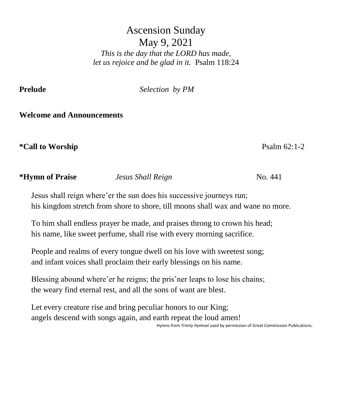# Ascension Sunday May 9, 2021 *This is the day that the LORD has made, let us rejoice and be glad in it.* Psalm 118:24

**Prelude** *Selection by PM*

## **Welcome and Announcements**

## **\*Call to Worship** Psalm 62:1-2

## **\*Hymn of Praise** *Jesus Shall Reign* No. 441

Jesus shall reign where'er the sun does his successive journeys run; his kingdom stretch from shore to shore, till moons shall wax and wane no more.

To him shall endless prayer be made, and praises throng to crown his head; his name, like sweet perfume, shall rise with every morning sacrifice.

People and realms of every tongue dwell on his love with sweetest song; and infant voices shall proclaim their early blessings on his name.

Blessing abound where'er he reigns; the pris'ner leaps to lose his chains; the weary find eternal rest, and all the sons of want are blest.

Let every creature rise and bring peculiar honors to our King; angels descend with songs again, and earth repeat the loud amen!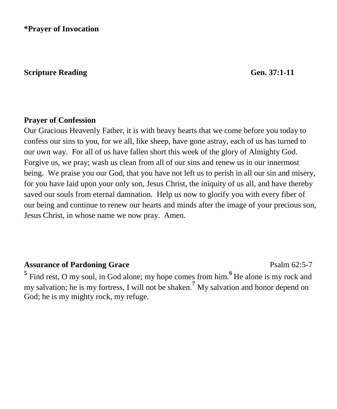**\*Prayer of Invocation** 

#### **Scripture Reading Gen.** 37:1-11

#### **Prayer of Confession**

Our Gracious Heavenly Father, it is with heavy hearts that we come before you today to confess our sins to you, for we all, like sheep, have gone astray, each of us has turned to our own way. For all of us have fallen short this week of the glory of Almighty God. Forgive us, we pray; wash us clean from all of our sins and renew us in our innermost being. We praise you our God, that you have not left us to perish in all our sin and misery, for you have laid upon your only son, Jesus Christ, the iniquity of us all, and have thereby saved our souls from eternal damnation. Help us now to glorify you with every fiber of our being and continue to renew our hearts and minds after the image of your precious son, Jesus Christ, in whose name we now pray. Amen.

#### Assurance of Pardoning Grace **Property** Psalm 62:5-7

**5** Find rest, O my soul, in God alone; my hope comes from him.**6** He alone is my rock and my salvation; he is my fortress, I will not be shaken.**<sup>7</sup>** My salvation and honor depend on God; he is my mighty rock, my refuge.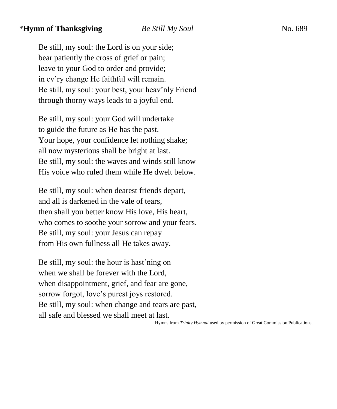#### \***Hymn of Thanksgiving** *Be Still My Soul*No. 689

Be still, my soul: the Lord is on your side; bear patiently the cross of grief or pain; leave to your God to order and provide; in ev'ry change He faithful will remain. Be still, my soul: your best, your heav'nly Friend through thorny ways leads to a joyful end.

Be still, my soul: your God will undertake to guide the future as He has the past. Your hope, your confidence let nothing shake; all now mysterious shall be bright at last. Be still, my soul: the waves and winds still know His voice who ruled them while He dwelt below.

Be still, my soul: when dearest friends depart, and all is darkened in the vale of tears, then shall you better know His love, His heart, who comes to soothe your sorrow and your fears. Be still, my soul: your Jesus can repay from His own fullness all He takes away.

Be still, my soul: the hour is hast'ning on when we shall be forever with the Lord, when disappointment, grief, and fear are gone, sorrow forgot, love's purest joys restored. Be still, my soul: when change and tears are past, all safe and blessed we shall meet at last.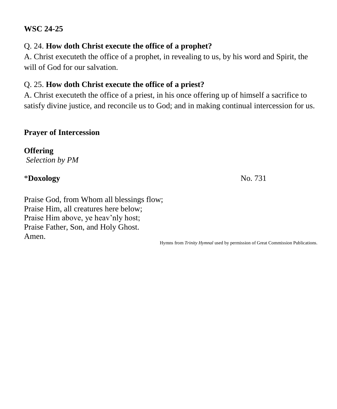#### **WSC 24-25**

## Q. 24. **How doth Christ execute the office of a prophet?**

A. Christ executeth the office of a prophet, in revealing to us, by his word and Spirit, the will of God for our salvation.

## Q. 25. **How doth Christ execute the office of a priest?**

A. Christ executeth the office of a priest, in his once offering up of himself a sacrifice to satisfy divine justice, and reconcile us to God; and in making continual intercession for us.

#### **Prayer of Intercession**

**Offering** *Selection by PM*

## \***Doxology** No. 731

Praise God, from Whom all blessings flow; Praise Him, all creatures here below; Praise Him above, ye heav'nly host; Praise Father, Son, and Holy Ghost. Amen.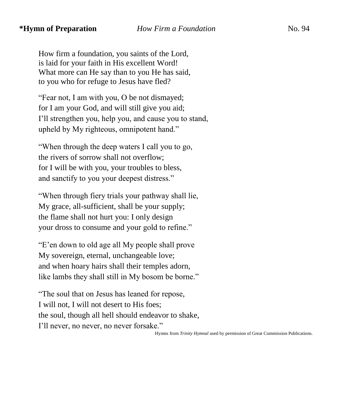How firm a foundation, you saints of the Lord, is laid for your faith in His excellent Word! What more can He say than to you He has said, to you who for refuge to Jesus have fled?

"Fear not, I am with you, O be not dismayed; for I am your God, and will still give you aid; I'll strengthen you, help you, and cause you to stand, upheld by My righteous, omnipotent hand."

"When through the deep waters I call you to go, the rivers of sorrow shall not overflow; for I will be with you, your troubles to bless, and sanctify to you your deepest distress."

"When through fiery trials your pathway shall lie, My grace, all-sufficient, shall be your supply; the flame shall not hurt you: I only design your dross to consume and your gold to refine."

"E'en down to old age all My people shall prove My sovereign, eternal, unchangeable love; and when hoary hairs shall their temples adorn, like lambs they shall still in My bosom be borne."

"The soul that on Jesus has leaned for repose, I will not, I will not desert to His foes; the soul, though all hell should endeavor to shake, I'll never, no never, no never forsake."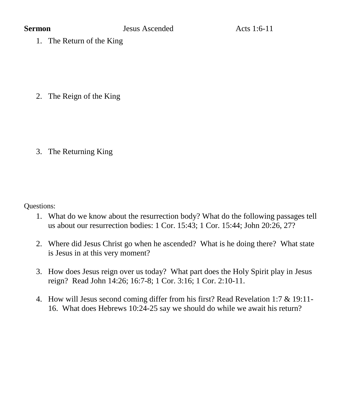1. The Return of the King

2. The Reign of the King

3. The Returning King

Questions:

- 1. What do we know about the resurrection body? What do the following passages tell us about our resurrection bodies: 1 Cor. 15:43; 1 Cor. 15:44; John 20:26, 27?
- 2. Where did Jesus Christ go when he ascended? What is he doing there? What state is Jesus in at this very moment?
- 3. How does Jesus reign over us today? What part does the Holy Spirit play in Jesus reign? Read John 14:26; 16:7-8; 1 Cor. 3:16; 1 Cor. 2:10-11.
- 4. How will Jesus second coming differ from his first? Read Revelation 1:7 & 19:11- 16. What does Hebrews 10:24-25 say we should do while we await his return?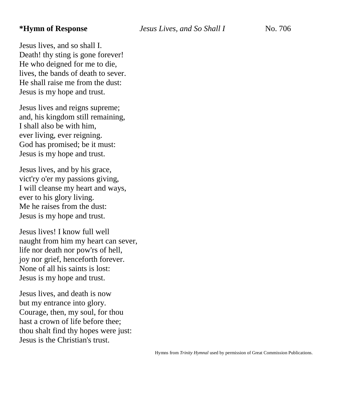Jesus lives, and so shall I. Death! thy sting is gone forever! He who deigned for me to die, lives, the bands of death to sever. He shall raise me from the dust: Jesus is my hope and trust.

Jesus lives and reigns supreme; and, his kingdom still remaining, I shall also be with him, ever living, ever reigning. God has promised; be it must: Jesus is my hope and trust.

Jesus lives, and by his grace, vict'ry o'er my passions giving, I will cleanse my heart and ways, ever to his glory living. Me he raises from the dust: Jesus is my hope and trust.

Jesus lives! I know full well naught from him my heart can sever, life nor death nor pow'rs of hell, joy nor grief, henceforth forever. None of all his saints is lost: Jesus is my hope and trust.

Jesus lives, and death is now but my entrance into glory. Courage, then, my soul, for thou hast a crown of life before thee; thou shalt find thy hopes were just: Jesus is the Christian's trust.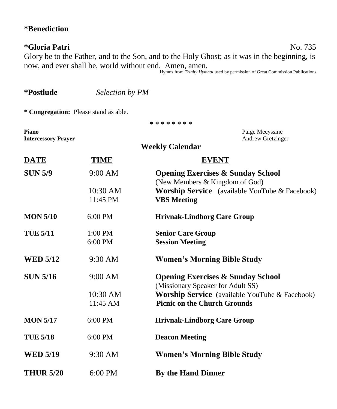# **\*Benediction**

## **\*Gloria Patri** No. 735

Glory be to the Father, and to the Son, and to the Holy Ghost; as it was in the beginning, is now, and ever shall be, world without end. Amen, amen. Hymns from *Trinity Hymnal* used by permission of Great Commission Publications.

| *Postlude                             | Selection by PM      |                                                                                       |  |  |  |  |  |  |
|---------------------------------------|----------------------|---------------------------------------------------------------------------------------|--|--|--|--|--|--|
| * Congregation: Please stand as able. |                      |                                                                                       |  |  |  |  |  |  |
| * * * * * * * *                       |                      |                                                                                       |  |  |  |  |  |  |
| Piano<br><b>Intercessory Prayer</b>   |                      | Paige Mecyssine<br>Andrew Gretzinger                                                  |  |  |  |  |  |  |
| <b>Weekly Calendar</b>                |                      |                                                                                       |  |  |  |  |  |  |
| <b>DATE</b>                           | <b>TIME</b>          | <b>EVENT</b>                                                                          |  |  |  |  |  |  |
| <b>SUN 5/9</b>                        | 9:00 AM              | <b>Opening Exercises &amp; Sunday School</b><br>(New Members & Kingdom of God)        |  |  |  |  |  |  |
|                                       | 10:30 AM<br>11:45 PM | <b>Worship Service</b> (available YouTube & Facebook)<br><b>VBS</b> Meeting           |  |  |  |  |  |  |
| <b>MON 5/10</b>                       | $6:00$ PM            | <b>Hrivnak-Lindborg Care Group</b>                                                    |  |  |  |  |  |  |
| <b>TUE 5/11</b>                       | 1:00 PM<br>6:00 PM   | <b>Senior Care Group</b><br><b>Session Meeting</b>                                    |  |  |  |  |  |  |
| <b>WED 5/12</b>                       | 9:30 AM              | <b>Women's Morning Bible Study</b>                                                    |  |  |  |  |  |  |
| <b>SUN 5/16</b>                       | 9:00 AM              | <b>Opening Exercises &amp; Sunday School</b><br>(Missionary Speaker for Adult SS)     |  |  |  |  |  |  |
|                                       | 10:30 AM<br>11:45 AM | Worship Service (available YouTube & Facebook)<br><b>Picnic on the Church Grounds</b> |  |  |  |  |  |  |
| <b>MON 5/17</b>                       | 6:00 PM              | <b>Hrivnak-Lindborg Care Group</b>                                                    |  |  |  |  |  |  |
| <b>TUE 5/18</b>                       | 6:00 PM              | <b>Deacon Meeting</b>                                                                 |  |  |  |  |  |  |
| <b>WED 5/19</b>                       | 9:30 AM              | <b>Women's Morning Bible Study</b>                                                    |  |  |  |  |  |  |
| <b>THUR 5/20</b>                      | 6:00 PM              | <b>By the Hand Dinner</b>                                                             |  |  |  |  |  |  |